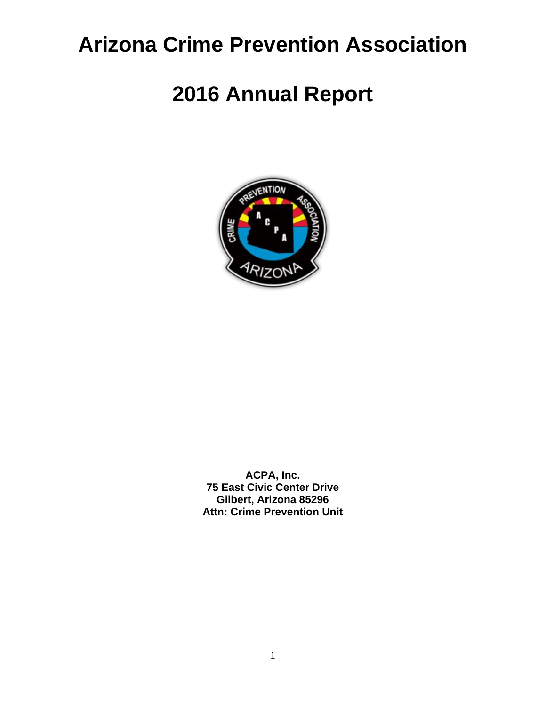# **Arizona Crime Prevention Association**

# **2016 Annual Report**



**ACPA, Inc. 75 East Civic Center Drive Gilbert, Arizona 85296 Attn: Crime Prevention Unit**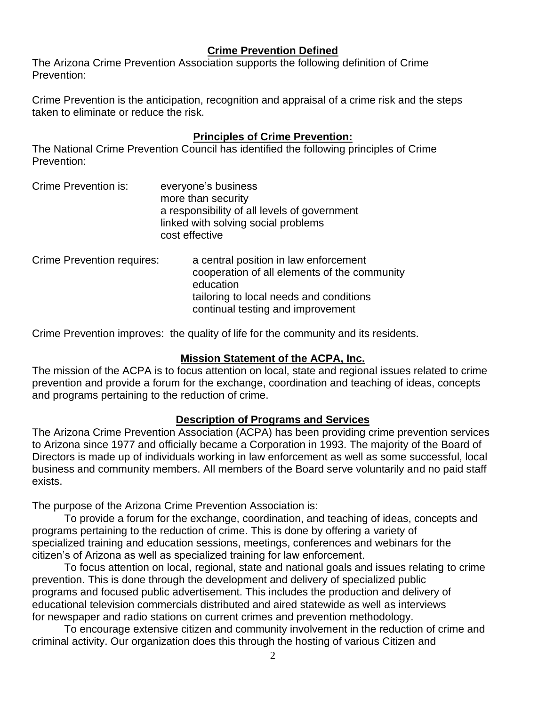# **Crime Prevention Defined**

The Arizona Crime Prevention Association supports the following definition of Crime Prevention:

Crime Prevention is the anticipation, recognition and appraisal of a crime risk and the steps taken to eliminate or reduce the risk.

## **Principles of Crime Prevention:**

The National Crime Prevention Council has identified the following principles of Crime Prevention:

| Crime Prevention is:              | everyone's business<br>more than security<br>a responsibility of all levels of government<br>linked with solving social problems<br>cost effective |
|-----------------------------------|----------------------------------------------------------------------------------------------------------------------------------------------------|
| <b>Crime Prevention requires:</b> | a central position in law enforcement                                                                                                              |

cooperation of all elements of the community education tailoring to local needs and conditions continual testing and improvement

Crime Prevention improves: the quality of life for the community and its residents.

### **Mission Statement of the ACPA, Inc.**

The mission of the ACPA is to focus attention on local, state and regional issues related to crime prevention and provide a forum for the exchange, coordination and teaching of ideas, concepts and programs pertaining to the reduction of crime.

### **Description of Programs and Services**

The Arizona Crime Prevention Association (ACPA) has been providing crime prevention services to Arizona since 1977 and officially became a Corporation in 1993. The majority of the Board of Directors is made up of individuals working in law enforcement as well as some successful, local business and community members. All members of the Board serve voluntarily and no paid staff exists.

The purpose of the Arizona Crime Prevention Association is:

To provide a forum for the exchange, coordination, and teaching of ideas, concepts and programs pertaining to the reduction of crime. This is done by offering a variety of specialized training and education sessions, meetings, conferences and webinars for the citizen's of Arizona as well as specialized training for law enforcement.

To focus attention on local, regional, state and national goals and issues relating to crime prevention. This is done through the development and delivery of specialized public programs and focused public advertisement. This includes the production and delivery of educational television commercials distributed and aired statewide as well as interviews for newspaper and radio stations on current crimes and prevention methodology.

To encourage extensive citizen and community involvement in the reduction of crime and criminal activity. Our organization does this through the hosting of various Citizen and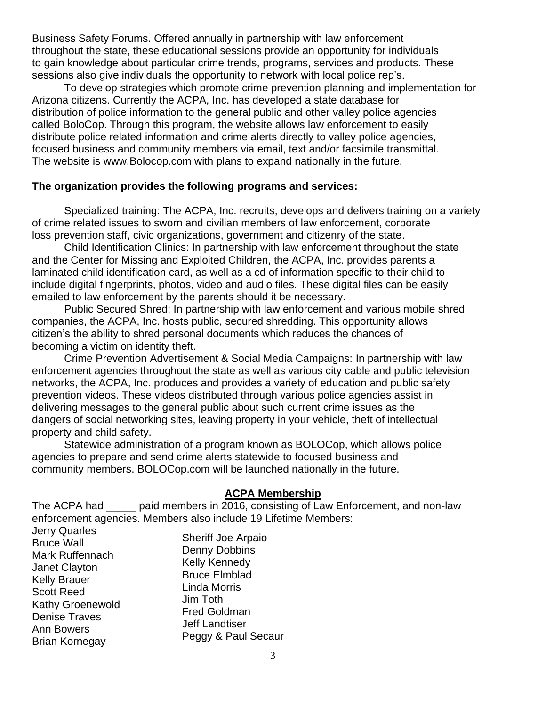Business Safety Forums. Offered annually in partnership with law enforcement throughout the state, these educational sessions provide an opportunity for individuals to gain knowledge about particular crime trends, programs, services and products. These sessions also give individuals the opportunity to network with local police rep's.

To develop strategies which promote crime prevention planning and implementation for Arizona citizens. Currently the ACPA, Inc. has developed a state database for distribution of police information to the general public and other valley police agencies called BoloCop. Through this program, the website allows law enforcement to easily distribute police related information and crime alerts directly to valley police agencies, focused business and community members via email, text and/or facsimile transmittal. The website is www.Bolocop.com with plans to expand nationally in the future.

#### **The organization provides the following programs and services:**

Specialized training: The ACPA, Inc. recruits, develops and delivers training on a variety of crime related issues to sworn and civilian members of law enforcement, corporate loss prevention staff, civic organizations, government and citizenry of the state.

Child Identification Clinics: In partnership with law enforcement throughout the state and the Center for Missing and Exploited Children, the ACPA, Inc. provides parents a laminated child identification card, as well as a cd of information specific to their child to include digital fingerprints, photos, video and audio files. These digital files can be easily emailed to law enforcement by the parents should it be necessary.

Public Secured Shred: In partnership with law enforcement and various mobile shred companies, the ACPA, Inc. hosts public, secured shredding. This opportunity allows citizen's the ability to shred personal documents which reduces the chances of becoming a victim on identity theft.

Crime Prevention Advertisement & Social Media Campaigns: In partnership with law enforcement agencies throughout the state as well as various city cable and public television networks, the ACPA, Inc. produces and provides a variety of education and public safety prevention videos. These videos distributed through various police agencies assist in delivering messages to the general public about such current crime issues as the dangers of social networking sites, leaving property in your vehicle, theft of intellectual property and child safety.

Statewide administration of a program known as BOLOCop, which allows police agencies to prepare and send crime alerts statewide to focused business and community members. BOLOCop.com will be launched nationally in the future.

#### **ACPA Membership**

The ACPA had  $\qquad$  paid members in 2016, consisting of Law Enforcement, and non-law enforcement agencies. Members also include 19 Lifetime Members:

Jerry Quarles Bruce Wall Mark Ruffennach Janet Clayton Kelly Brauer Scott Reed Kathy Groenewold Denise Traves Ann Bowers Brian Kornegay Sheriff Joe Arpaio Denny Dobbins Kelly Kennedy Bruce Elmblad Linda Morris Jim Toth Fred Goldman Jeff Landtiser Peggy & Paul Secaur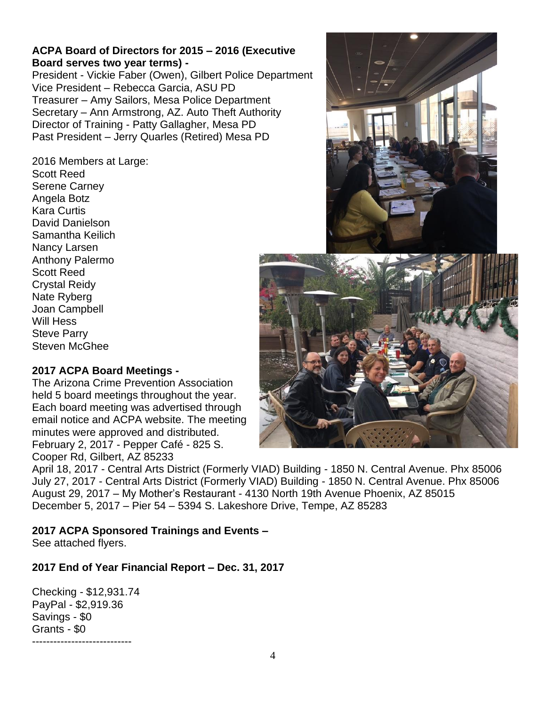# **ACPA Board of Directors for 2015 – 2016 (Executive Board serves two year terms) -**

President - Vickie Faber (Owen), Gilbert Police Department Vice President – Rebecca Garcia, ASU PD Treasurer – Amy Sailors, Mesa Police Department Secretary – Ann Armstrong, AZ. Auto Theft Authority Director of Training - Patty Gallagher, Mesa PD Past President – Jerry Quarles (Retired) Mesa PD

2016 Members at Large: Scott Reed Serene Carney Angela Botz Kara Curtis David Danielson Samantha Keilich Nancy Larsen Anthony Palermo Scott Reed Crystal Reidy Nate Ryberg Joan Campbell Will Hess Steve Parry Steven McGhee





# **2017 ACPA Board Meetings -**

The Arizona Crime Prevention Association held 5 board meetings throughout the year. Each board meeting was advertised through email notice and ACPA website. The meeting minutes were approved and distributed. February 2, 2017 - Pepper Café - 825 S. Cooper Rd, Gilbert, AZ 85233

April 18, 2017 - Central Arts District (Formerly VIAD) Building - 1850 N. Central Avenue. Phx 85006 July 27, 2017 - Central Arts District (Formerly VIAD) Building - 1850 N. Central Avenue. Phx 85006 August 29, 2017 – My Mother's Restaurant - 4130 North 19th Avenue Phoenix, AZ 85015 December 5, 2017 – Pier 54 – 5394 S. Lakeshore Drive, Tempe, AZ 85283

# **2017 ACPA Sponsored Trainings and Events –**

See attached flyers.

**2017 End of Year Financial Report – Dec. 31, 2017**

Checking - \$12,931.74 PayPal - \$2,919.36 Savings - \$0 Grants - \$0 ----------------------------